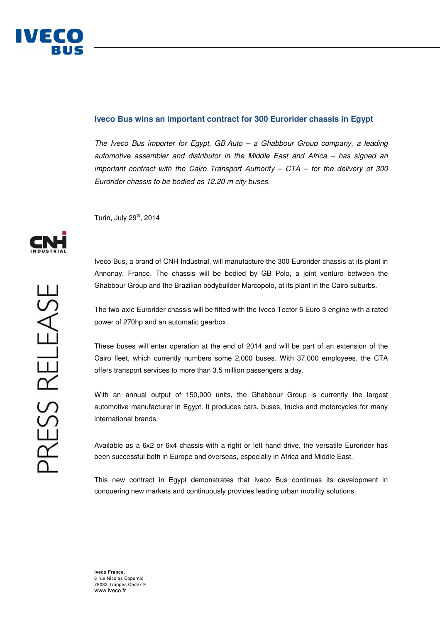## **Iveco Bus wins an important contract for 300 Eurorider chassis in Egypt**

The Iveco Bus importer for Egypt, GB Auto – a Ghabbour Group company, a leading automotive assembler and distributor in the Middle East and Africa – has signed an important contract with the Cairo Transport Authority  $-$  CTA  $-$  for the delivery of 300 Eurorider chassis to be bodied as 12.20 m city buses.

Turin, July 29<sup>th</sup>, 2014

Iveco Bus, a brand of CNH Industrial, will manufacture the 300 Eurorider chassis at its plant in Annonay, France. The chassis will be bodied by GB Polo, a joint venture between the Ghabbour Group and the Brazilian bodybuilder Marcopolo, at its plant in the Cairo suburbs.

The two-axle Eurorider chassis will be fitted with the Iveco Tector 6 Euro 3 engine with a rated power of 270hp and an automatic gearbox.

These buses will enter operation at the end of 2014 and will be part of an extension of the Cairo fleet, which currently numbers some 2,000 buses. With 37,000 employees, the CTA offers transport services to more than 3.5 million passengers a day.

With an annual output of 150,000 units, the Ghabbour Group is currently the largest automotive manufacturer in Egypt. It produces cars, buses, trucks and motorcycles for many international brands.

Available as a 6x2 or 6x4 chassis with a right or left hand drive, the versatile Eurorider has been successful both in Europe and overseas, especially in Africa and Middle East.

This new contract in Egypt demonstrates that Iveco Bus continues its development in conquering new markets and continuously provides leading urban mobility solutions.